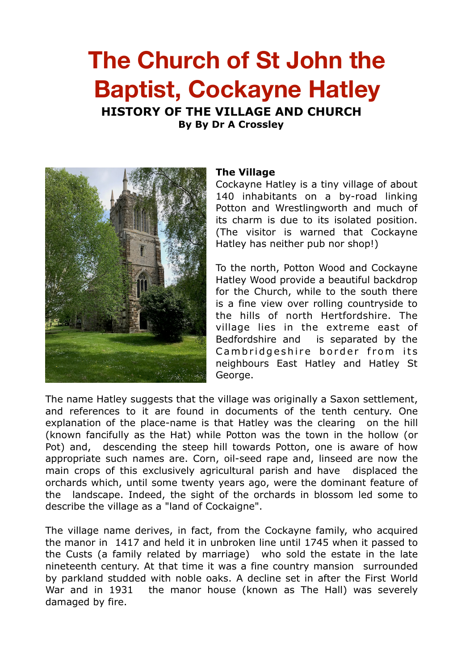# **The Church of St John the Baptist, Cockayne Hatley**

**HISTORY OF THE VILLAGE AND CHURCH** 

**By By Dr A Crossley** 



### **The Village**

Cockayne Hatley is a tiny village of about 140 inhabitants on a by-road linking Potton and Wrestlingworth and much of its charm is due to its isolated position. (The visitor is warned that Cockayne Hatley has neither pub nor shop!)

To the north, Potton Wood and Cockayne Hatley Wood provide a beautiful backdrop for the Church, while to the south there is a fine view over rolling countryside to the hills of north Hertfordshire. The village lies in the extreme east of Bedfordshire and is separated by the Cambridgeshire border from its neighbours East Hatley and Hatley St George.

The name Hatley suggests that the village was originally a Saxon settlement, and references to it are found in documents of the tenth century. One explanation of the place-name is that Hatley was the clearing on the hill (known fancifully as the Hat) while Potton was the town in the hollow (or Pot) and, descending the steep hill towards Potton, one is aware of how appropriate such names are. Corn, oil-seed rape and, linseed are now the main crops of this exclusively agricultural parish and have displaced the orchards which, until some twenty years ago, were the dominant feature of the landscape. Indeed, the sight of the orchards in blossom led some to describe the village as a "land of Cockaigne".

The village name derives, in fact, from the Cockayne family, who acquired the manor in 1417 and held it in unbroken line until 1745 when it passed to the Custs (a family related by marriage) who sold the estate in the late nineteenth century. At that time it was a fine country mansion surrounded by parkland studded with noble oaks. A decline set in after the First World War and in 1931 the manor house (known as The Hall) was severely damaged by fire.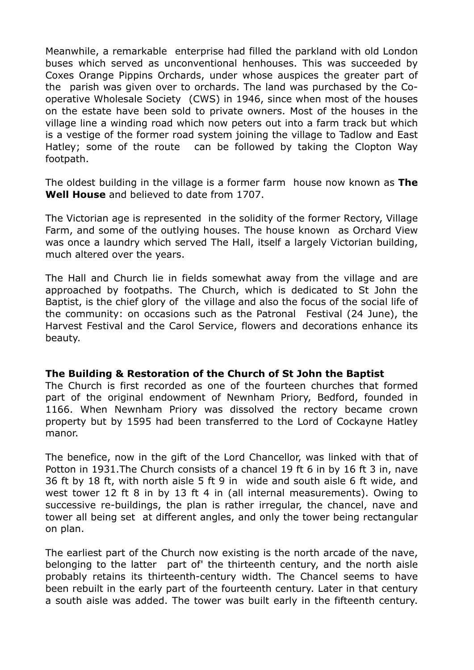Meanwhile, a remarkable enterprise had filled the parkland with old London buses which served as unconventional henhouses. This was succeeded by Coxes Orange Pippins Orchards, under whose auspices the greater part of the parish was given over to orchards. The land was purchased by the Cooperative Wholesale Society (CWS) in 1946, since when most of the houses on the estate have been sold to private owners. Most of the houses in the village line a winding road which now peters out into a farm track but which is a vestige of the former road system joining the village to Tadlow and East Hatley; some of the route can be followed by taking the Clopton Way footpath.

The oldest building in the village is a former farm house now known as **The Well House** and believed to date from 1707.

The Victorian age is represented in the solidity of the former Rectory, Village Farm, and some of the outlying houses. The house known as Orchard View was once a laundry which served The Hall, itself a largely Victorian building, much altered over the years.

The Hall and Church lie in fields somewhat away from the village and are approached by footpaths. The Church, which is dedicated to St John the Baptist, is the chief glory of the village and also the focus of the social life of the community: on occasions such as the Patronal Festival (24 June), the Harvest Festival and the Carol Service, flowers and decorations enhance its beauty.

## **The Building & Restoration of the Church of St John the Baptist**

The Church is first recorded as one of the fourteen churches that formed part of the original endowment of Newnham Priory, Bedford, founded in 1166. When Newnham Priory was dissolved the rectory became crown property but by 1595 had been transferred to the Lord of Cockayne Hatley manor.

The benefice, now in the gift of the Lord Chancellor, was linked with that of Potton in 1931.The Church consists of a chancel 19 ft 6 in by 16 ft 3 in, nave 36 ft by 18 ft, with north aisle 5 ft 9 in wide and south aisle 6 ft wide, and west tower 12 ft 8 in by 13 ft 4 in (all internal measurements). Owing to successive re-buildings, the plan is rather irregular, the chancel, nave and tower all being set at different angles, and only the tower being rectangular on plan.

The earliest part of the Church now existing is the north arcade of the nave, belonging to the latter part of' the thirteenth century, and the north aisle probably retains its thirteenth-century width. The Chancel seems to have been rebuilt in the early part of the fourteenth century. Later in that century a south aisle was added. The tower was built early in the fifteenth century.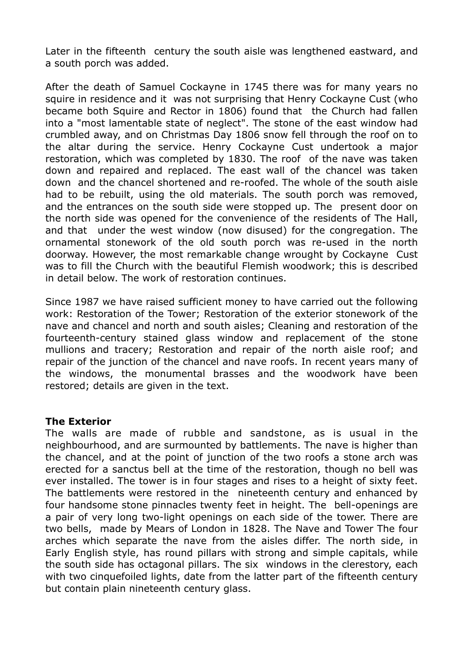Later in the fifteenth century the south aisle was lengthened eastward, and a south porch was added.

After the death of Samuel Cockayne in 1745 there was for many years no squire in residence and it was not surprising that Henry Cockayne Cust (who became both Squire and Rector in 1806) found that the Church had fallen into a "most lamentable state of neglect". The stone of the east window had crumbled away, and on Christmas Day 1806 snow fell through the roof on to the altar during the service. Henry Cockayne Cust undertook a major restoration, which was completed by 1830. The roof of the nave was taken down and repaired and replaced. The east wall of the chancel was taken down and the chancel shortened and re-roofed. The whole of the south aisle had to be rebuilt, using the old materials. The south porch was removed, and the entrances on the south side were stopped up. The present door on the north side was opened for the convenience of the residents of The Hall, and that under the west window (now disused) for the congregation. The ornamental stonework of the old south porch was re-used in the north doorway. However, the most remarkable change wrought by Cockayne Cust was to fill the Church with the beautiful Flemish woodwork; this is described in detail below. The work of restoration continues.

Since 1987 we have raised sufficient money to have carried out the following work: Restoration of the Tower; Restoration of the exterior stonework of the nave and chancel and north and south aisles; Cleaning and restoration of the fourteenth-century stained glass window and replacement of the stone mullions and tracery; Restoration and repair of the north aisle roof; and repair of the junction of the chancel and nave roofs. In recent years many of the windows, the monumental brasses and the woodwork have been restored; details are given in the text.

## **The Exterior**

The walls are made of rubble and sandstone, as is usual in the neighbourhood, and are surmounted by battlements. The nave is higher than the chancel, and at the point of junction of the two roofs a stone arch was erected for a sanctus bell at the time of the restoration, though no bell was ever installed. The tower is in four stages and rises to a height of sixty feet. The battlements were restored in the nineteenth century and enhanced by four handsome stone pinnacles twenty feet in height. The bell-openings are a pair of very long two-light openings on each side of the tower. There are two bells, made by Mears of London in 1828. The Nave and Tower The four arches which separate the nave from the aisles differ. The north side, in Early English style, has round pillars with strong and simple capitals, while the south side has octagonal pillars. The six windows in the clerestory, each with two cinquefoiled lights, date from the latter part of the fifteenth century but contain plain nineteenth century glass.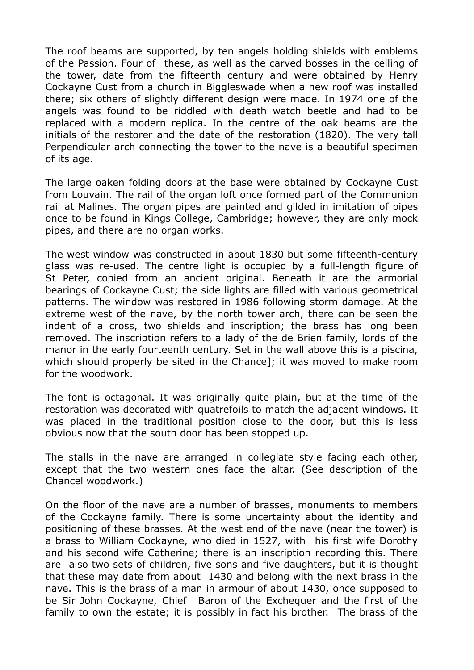The roof beams are supported, by ten angels holding shields with emblems of the Passion. Four of these, as well as the carved bosses in the ceiling of the tower, date from the fifteenth century and were obtained by Henry Cockayne Cust from a church in Biggleswade when a new roof was installed there; six others of slightly different design were made. In 1974 one of the angels was found to be riddled with death watch beetle and had to be replaced with a modern replica. In the centre of the oak beams are the initials of the restorer and the date of the restoration (1820). The very tall Perpendicular arch connecting the tower to the nave is a beautiful specimen of its age.

The large oaken folding doors at the base were obtained by Cockayne Cust from Louvain. The rail of the organ loft once formed part of the Communion rail at Malines. The organ pipes are painted and gilded in imitation of pipes once to be found in Kings College, Cambridge; however, they are only mock pipes, and there are no organ works.

The west window was constructed in about 1830 but some fifteenth-century glass was re-used. The centre light is occupied by a full-length figure of St Peter, copied from an ancient original. Beneath it are the armorial bearings of Cockayne Cust; the side lights are filled with various geometrical patterns. The window was restored in 1986 following storm damage. At the extreme west of the nave, by the north tower arch, there can be seen the indent of a cross, two shields and inscription; the brass has long been removed. The inscription refers to a lady of the de Brien family, lords of the manor in the early fourteenth century. Set in the wall above this is a piscina, which should properly be sited in the Chance]; it was moved to make room for the woodwork.

The font is octagonal. It was originally quite plain, but at the time of the restoration was decorated with quatrefoils to match the adjacent windows. It was placed in the traditional position close to the door, but this is less obvious now that the south door has been stopped up.

The stalls in the nave are arranged in collegiate style facing each other, except that the two western ones face the altar. (See description of the Chancel woodwork.)

On the floor of the nave are a number of brasses, monuments to members of the Cockayne family. There is some uncertainty about the identity and positioning of these brasses. At the west end of the nave (near the tower) is a brass to William Cockayne, who died in 1527, with his first wife Dorothy and his second wife Catherine; there is an inscription recording this. There are also two sets of children, five sons and five daughters, but it is thought that these may date from about 1430 and belong with the next brass in the nave. This is the brass of a man in armour of about 1430, once supposed to be Sir John Cockayne, Chief Baron of the Exchequer and the first of the family to own the estate; it is possibly in fact his brother. The brass of the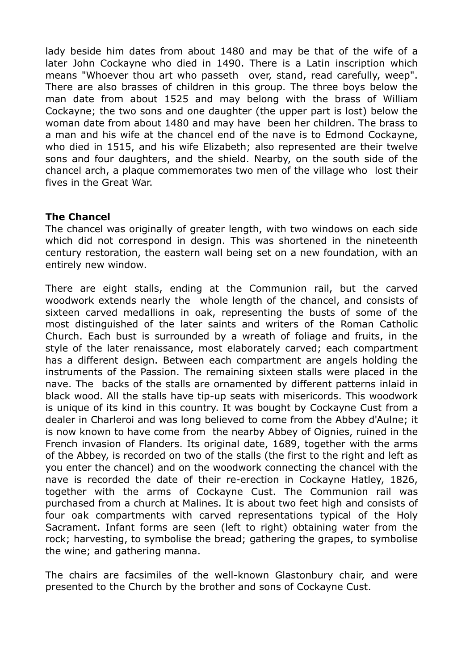lady beside him dates from about 1480 and may be that of the wife of a later John Cockayne who died in 1490. There is a Latin inscription which means "Whoever thou art who passeth over, stand, read carefully, weep". There are also brasses of children in this group. The three boys below the man date from about 1525 and may belong with the brass of William Cockayne; the two sons and one daughter (the upper part is lost) below the woman date from about 1480 and may have been her children. The brass to a man and his wife at the chancel end of the nave is to Edmond Cockayne, who died in 1515, and his wife Elizabeth; also represented are their twelve sons and four daughters, and the shield. Nearby, on the south side of the chancel arch, a plaque commemorates two men of the village who lost their fives in the Great War.

## **The Chancel**

The chancel was originally of greater length, with two windows on each side which did not correspond in design. This was shortened in the nineteenth century restoration, the eastern wall being set on a new foundation, with an entirely new window.

There are eight stalls, ending at the Communion rail, but the carved woodwork extends nearly the whole length of the chancel, and consists of sixteen carved medallions in oak, representing the busts of some of the most distinguished of the later saints and writers of the Roman Catholic Church. Each bust is surrounded by a wreath of foliage and fruits, in the style of the later renaissance, most elaborately carved; each compartment has a different design. Between each compartment are angels holding the instruments of the Passion. The remaining sixteen stalls were placed in the nave. The backs of the stalls are ornamented by different patterns inlaid in black wood. All the stalls have tip-up seats with misericords. This woodwork is unique of its kind in this country. It was bought by Cockayne Cust from a dealer in Charleroi and was long believed to come from the Abbey d'Aulne; it is now known to have come from the nearby Abbey of Oignies, ruined in the French invasion of Flanders. Its original date, 1689, together with the arms of the Abbey, is recorded on two of the stalls (the first to the right and left as you enter the chancel) and on the woodwork connecting the chancel with the nave is recorded the date of their re-erection in Cockayne Hatley, 1826, together with the arms of Cockayne Cust. The Communion rail was purchased from a church at Malines. It is about two feet high and consists of four oak compartments with carved representations typical of the Holy Sacrament. Infant forms are seen (left to right) obtaining water from the rock; harvesting, to symbolise the bread; gathering the grapes, to symbolise the wine; and gathering manna.

The chairs are facsimiles of the well-known Glastonbury chair, and were presented to the Church by the brother and sons of Cockayne Cust.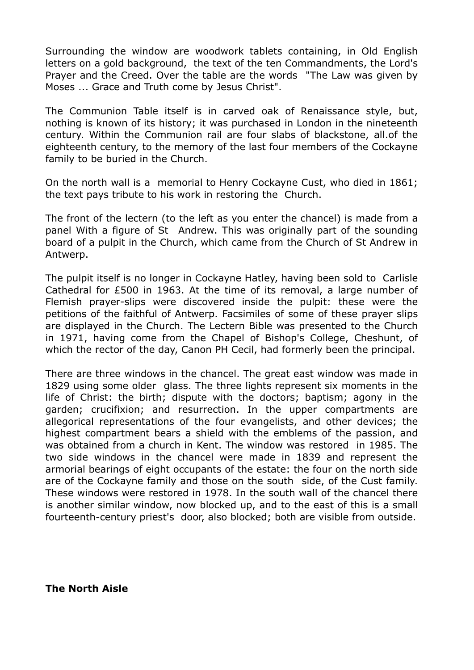Surrounding the window are woodwork tablets containing, in Old English letters on a gold background, the text of the ten Commandments, the Lord's Prayer and the Creed. Over the table are the words "The Law was given by Moses ... Grace and Truth come by Jesus Christ".

The Communion Table itself is in carved oak of Renaissance style, but, nothing is known of its history; it was purchased in London in the nineteenth century. Within the Communion rail are four slabs of blackstone, all.of the eighteenth century, to the memory of the last four members of the Cockayne family to be buried in the Church.

On the north wall is a memorial to Henry Cockayne Cust, who died in 1861; the text pays tribute to his work in restoring the Church.

The front of the lectern (to the left as you enter the chancel) is made from a panel With a figure of St Andrew. This was originally part of the sounding board of a pulpit in the Church, which came from the Church of St Andrew in Antwerp.

The pulpit itself is no longer in Cockayne Hatley, having been sold to Carlisle Cathedral for £500 in 1963. At the time of its removal, a large number of Flemish prayer-slips were discovered inside the pulpit: these were the petitions of the faithful of Antwerp. Facsimiles of some of these prayer slips are displayed in the Church. The Lectern Bible was presented to the Church in 1971, having come from the Chapel of Bishop's College, Cheshunt, of which the rector of the day, Canon PH Cecil, had formerly been the principal.

There are three windows in the chancel. The great east window was made in 1829 using some older glass. The three lights represent six moments in the life of Christ: the birth; dispute with the doctors; baptism; agony in the garden; crucifixion; and resurrection. In the upper compartments are allegorical representations of the four evangelists, and other devices; the highest compartment bears a shield with the emblems of the passion, and was obtained from a church in Kent. The window was restored in 1985. The two side windows in the chancel were made in 1839 and represent the armorial bearings of eight occupants of the estate: the four on the north side are of the Cockayne family and those on the south side, of the Cust family. These windows were restored in 1978. In the south wall of the chancel there is another similar window, now blocked up, and to the east of this is a small fourteenth-century priest's door, also blocked; both are visible from outside.

**The North Aisle**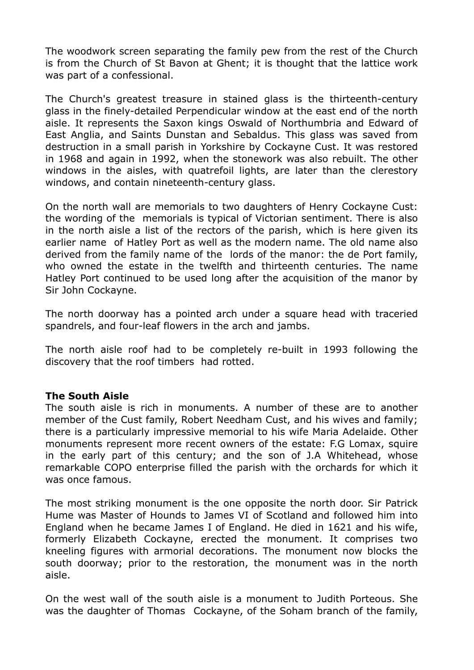The woodwork screen separating the family pew from the rest of the Church is from the Church of St Bavon at Ghent; it is thought that the lattice work was part of a confessional.

The Church's greatest treasure in stained glass is the thirteenth-century glass in the finely-detailed Perpendicular window at the east end of the north aisle. It represents the Saxon kings Oswald of Northumbria and Edward of East Anglia, and Saints Dunstan and Sebaldus. This glass was saved from destruction in a small parish in Yorkshire by Cockayne Cust. It was restored in 1968 and again in 1992, when the stonework was also rebuilt. The other windows in the aisles, with quatrefoil lights, are later than the clerestory windows, and contain nineteenth-century glass.

On the north wall are memorials to two daughters of Henry Cockayne Cust: the wording of the memorials is typical of Victorian sentiment. There is also in the north aisle a list of the rectors of the parish, which is here given its earlier name of Hatley Port as well as the modern name. The old name also derived from the family name of the lords of the manor: the de Port family, who owned the estate in the twelfth and thirteenth centuries. The name Hatley Port continued to be used long after the acquisition of the manor by Sir John Cockayne.

The north doorway has a pointed arch under a square head with traceried spandrels, and four-leaf flowers in the arch and jambs.

The north aisle roof had to be completely re-built in 1993 following the discovery that the roof timbers had rotted.

## **The South Aisle**

The south aisle is rich in monuments. A number of these are to another member of the Cust family, Robert Needham Cust, and his wives and family; there is a particularly impressive memorial to his wife Maria Adelaide. Other monuments represent more recent owners of the estate: F.G Lomax, squire in the early part of this century; and the son of J.A Whitehead, whose remarkable COPO enterprise filled the parish with the orchards for which it was once famous.

The most striking monument is the one opposite the north door. Sir Patrick Hume was Master of Hounds to James VI of Scotland and followed him into England when he became James I of England. He died in 1621 and his wife, formerly Elizabeth Cockayne, erected the monument. It comprises two kneeling figures with armorial decorations. The monument now blocks the south doorway; prior to the restoration, the monument was in the north aisle.

On the west wall of the south aisle is a monument to Judith Porteous. She was the daughter of Thomas Cockayne, of the Soham branch of the family,